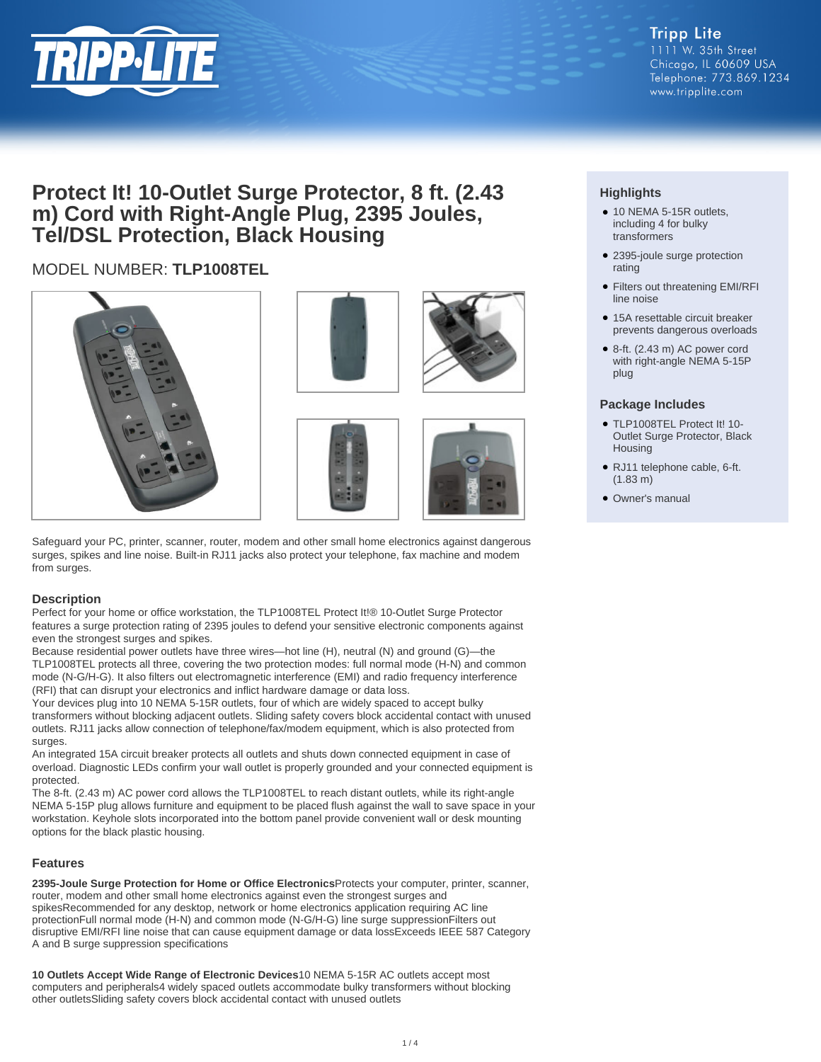

## **Protect It! 10-Outlet Surge Protector, 8 ft. (2.43 m) Cord with Right-Angle Plug, 2395 Joules, Tel/DSL Protection, Black Housing**

### MODEL NUMBER: **TLP1008TEL**









Safeguard your PC, printer, scanner, router, modem and other small home electronics against dangerous surges, spikes and line noise. Built-in RJ11 jacks also protect your telephone, fax machine and modem from surges.

#### **Description**

Perfect for your home or office workstation, the TLP1008TEL Protect It!® 10-Outlet Surge Protector features a surge protection rating of 2395 joules to defend your sensitive electronic components against even the strongest surges and spikes.

Because residential power outlets have three wires—hot line (H), neutral (N) and ground (G)—the TLP1008TEL protects all three, covering the two protection modes: full normal mode (H-N) and common mode (N-G/H-G). It also filters out electromagnetic interference (EMI) and radio frequency interference (RFI) that can disrupt your electronics and inflict hardware damage or data loss.

Your devices plug into 10 NEMA 5-15R outlets, four of which are widely spaced to accept bulky transformers without blocking adjacent outlets. Sliding safety covers block accidental contact with unused outlets. RJ11 jacks allow connection of telephone/fax/modem equipment, which is also protected from surges.

An integrated 15A circuit breaker protects all outlets and shuts down connected equipment in case of overload. Diagnostic LEDs confirm your wall outlet is properly grounded and your connected equipment is protected.

The 8-ft. (2.43 m) AC power cord allows the TLP1008TEL to reach distant outlets, while its right-angle NEMA 5-15P plug allows furniture and equipment to be placed flush against the wall to save space in your workstation. Keyhole slots incorporated into the bottom panel provide convenient wall or desk mounting options for the black plastic housing.

#### **Features**

**2395-Joule Surge Protection for Home or Office Electronics**Protects your computer, printer, scanner, router, modem and other small home electronics against even the strongest surges and spikesRecommended for any desktop, network or home electronics application requiring AC line protectionFull normal mode (H-N) and common mode (N-G/H-G) line surge suppressionFilters out disruptive EMI/RFI line noise that can cause equipment damage or data lossExceeds IEEE 587 Category A and B surge suppression specifications

**10 Outlets Accept Wide Range of Electronic Devices**10 NEMA 5-15R AC outlets accept most computers and peripherals4 widely spaced outlets accommodate bulky transformers without blocking other outletsSliding safety covers block accidental contact with unused outlets

#### **Highlights**

- 10 NEMA 5-15R outlets, including 4 for bulky transformers
- 2395-joule surge protection rating
- Filters out threatening EMI/RFI line noise
- 15A resettable circuit breaker prevents dangerous overloads
- 8-ft. (2.43 m) AC power cord with right-angle NEMA 5-15P plug

#### **Package Includes**

- TLP1008TEL Protect It! 10- Outlet Surge Protector, Black Housing
- RJ11 telephone cable, 6-ft. (1.83 m)
- Owner's manual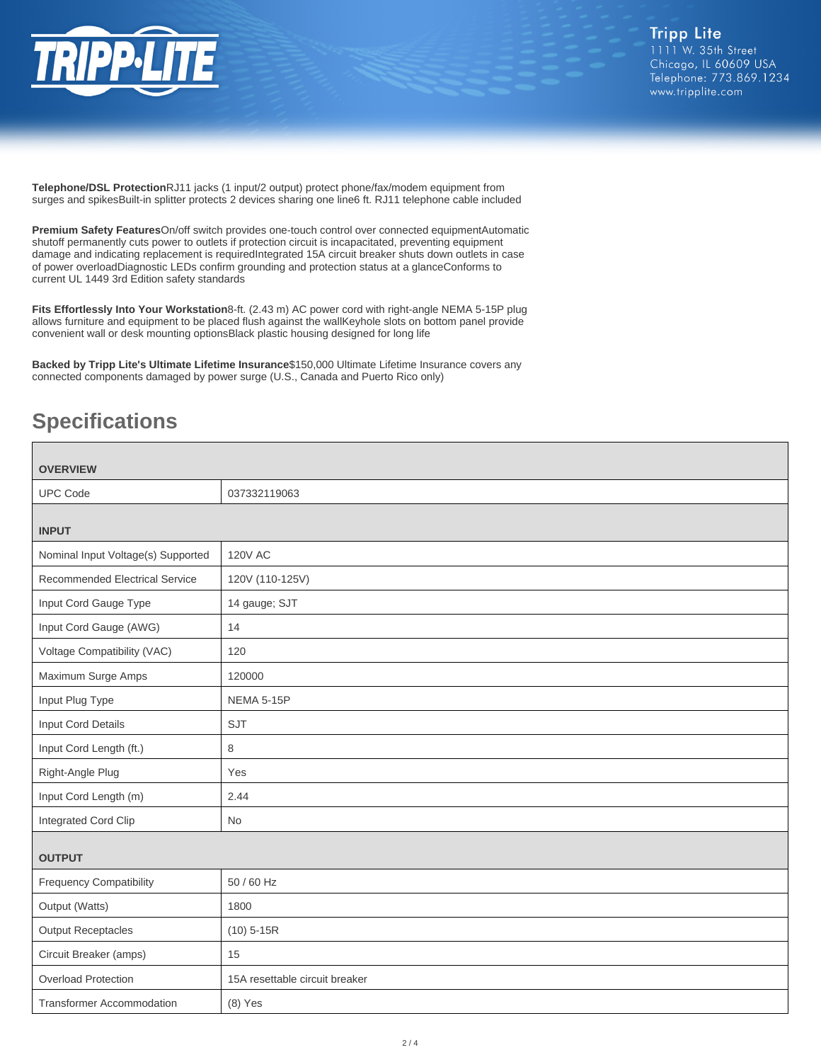

**Telephone/DSL Protection**RJ11 jacks (1 input/2 output) protect phone/fax/modem equipment from surges and spikesBuilt-in splitter protects 2 devices sharing one line6 ft. RJ11 telephone cable included

**Premium Safety Features**On/off switch provides one-touch control over connected equipmentAutomatic shutoff permanently cuts power to outlets if protection circuit is incapacitated, preventing equipment damage and indicating replacement is requiredIntegrated 15A circuit breaker shuts down outlets in case of power overloadDiagnostic LEDs confirm grounding and protection status at a glanceConforms to current UL 1449 3rd Edition safety standards

**Fits Effortlessly Into Your Workstation**8-ft. (2.43 m) AC power cord with right-angle NEMA 5-15P plug allows furniture and equipment to be placed flush against the wallKeyhole slots on bottom panel provide convenient wall or desk mounting optionsBlack plastic housing designed for long life

**Backed by Tripp Lite's Ultimate Lifetime Insurance**\$150,000 Ultimate Lifetime Insurance covers any connected components damaged by power surge (U.S., Canada and Puerto Rico only)

# **Specifications**

| <b>OVERVIEW</b>                    |                                |  |
|------------------------------------|--------------------------------|--|
| <b>UPC Code</b>                    | 037332119063                   |  |
|                                    |                                |  |
| <b>INPUT</b>                       |                                |  |
| Nominal Input Voltage(s) Supported | <b>120V AC</b>                 |  |
| Recommended Electrical Service     | 120V (110-125V)                |  |
| Input Cord Gauge Type              | 14 gauge; SJT                  |  |
| Input Cord Gauge (AWG)             | 14                             |  |
| Voltage Compatibility (VAC)        | 120                            |  |
| Maximum Surge Amps                 | 120000                         |  |
| Input Plug Type                    | NEMA 5-15P                     |  |
| Input Cord Details                 | <b>SJT</b>                     |  |
| Input Cord Length (ft.)            | 8                              |  |
| Right-Angle Plug                   | Yes                            |  |
| Input Cord Length (m)              | 2.44                           |  |
| Integrated Cord Clip               | No                             |  |
|                                    |                                |  |
| <b>OUTPUT</b>                      |                                |  |
| <b>Frequency Compatibility</b>     | 50 / 60 Hz                     |  |
| Output (Watts)                     | 1800                           |  |
| <b>Output Receptacles</b>          | $(10)$ 5-15R                   |  |
| Circuit Breaker (amps)             | 15                             |  |
| <b>Overload Protection</b>         | 15A resettable circuit breaker |  |
| <b>Transformer Accommodation</b>   | $(8)$ Yes                      |  |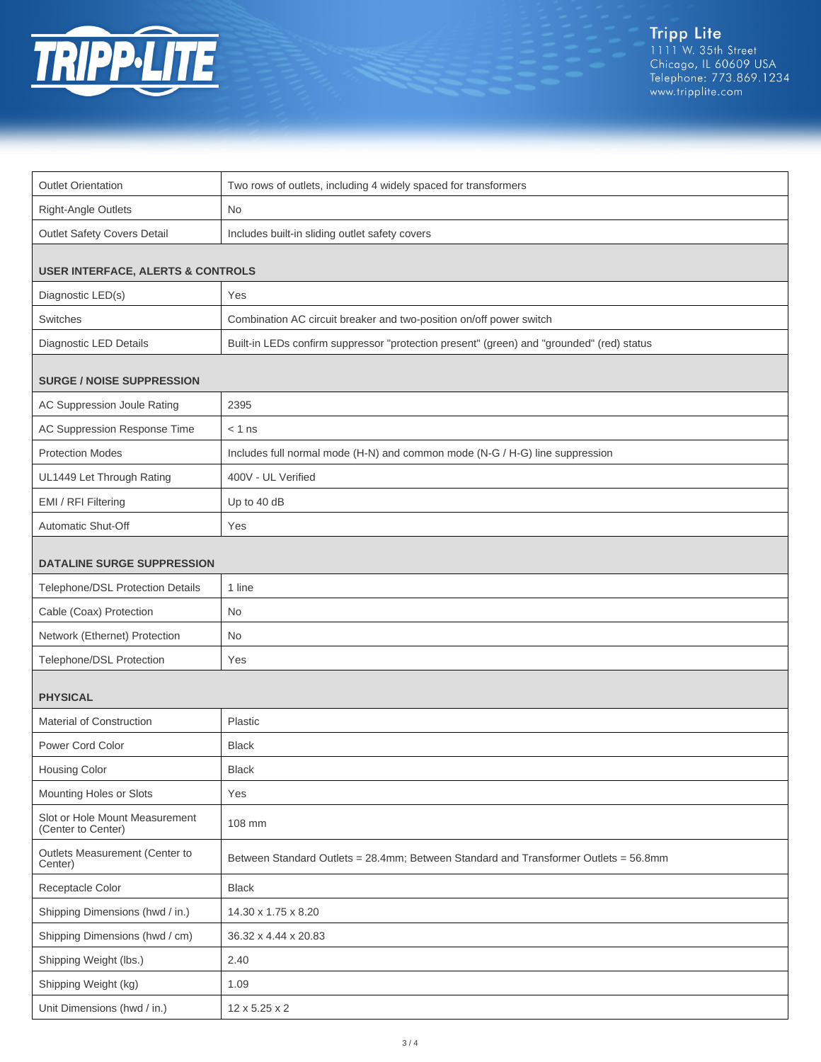

| <b>Outlet Orientation</b>                            | Two rows of outlets, including 4 widely spaced for transformers                           |  |
|------------------------------------------------------|-------------------------------------------------------------------------------------------|--|
| Right-Angle Outlets                                  | No                                                                                        |  |
| Outlet Safety Covers Detail                          | Includes built-in sliding outlet safety covers                                            |  |
| <b>USER INTERFACE, ALERTS &amp; CONTROLS</b>         |                                                                                           |  |
| Diagnostic LED(s)                                    | Yes                                                                                       |  |
| Switches                                             | Combination AC circuit breaker and two-position on/off power switch                       |  |
| Diagnostic LED Details                               | Built-in LEDs confirm suppressor "protection present" (green) and "grounded" (red) status |  |
| <b>SURGE / NOISE SUPPRESSION</b>                     |                                                                                           |  |
| AC Suppression Joule Rating                          | 2395                                                                                      |  |
| AC Suppression Response Time                         | $< 1$ ns                                                                                  |  |
| <b>Protection Modes</b>                              | Includes full normal mode (H-N) and common mode (N-G / H-G) line suppression              |  |
| UL1449 Let Through Rating                            | 400V - UL Verified                                                                        |  |
| EMI / RFI Filtering                                  | Up to 40 dB                                                                               |  |
| Automatic Shut-Off                                   | Yes                                                                                       |  |
| <b>DATALINE SURGE SUPPRESSION</b>                    |                                                                                           |  |
| Telephone/DSL Protection Details                     | 1 line                                                                                    |  |
| Cable (Coax) Protection                              | No.                                                                                       |  |
| Network (Ethernet) Protection                        | No.                                                                                       |  |
| Telephone/DSL Protection                             | Yes                                                                                       |  |
| <b>PHYSICAL</b>                                      |                                                                                           |  |
| Material of Construction                             | Plastic                                                                                   |  |
| Power Cord Color                                     | <b>Black</b>                                                                              |  |
| Housing Color                                        | <b>Black</b>                                                                              |  |
| Mounting Holes or Slots                              | Yes                                                                                       |  |
| Slot or Hole Mount Measurement<br>(Center to Center) | 108 mm                                                                                    |  |
| Outlets Measurement (Center to<br>Center)            | Between Standard Outlets = 28.4mm; Between Standard and Transformer Outlets = 56.8mm      |  |
| Receptacle Color                                     | <b>Black</b>                                                                              |  |
| Shipping Dimensions (hwd / in.)                      | 14.30 x 1.75 x 8.20                                                                       |  |
| Shipping Dimensions (hwd / cm)                       | 36.32 x 4.44 x 20.83                                                                      |  |
| Shipping Weight (lbs.)                               | 2.40                                                                                      |  |
| Shipping Weight (kg)                                 | 1.09                                                                                      |  |
| Unit Dimensions (hwd / in.)                          | 12 x 5.25 x 2                                                                             |  |